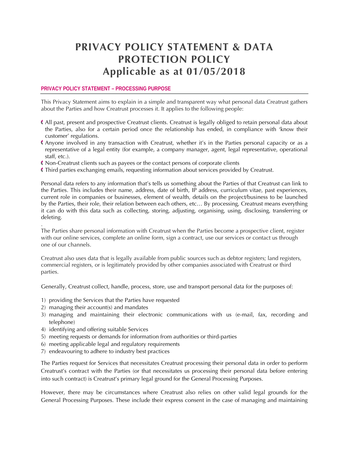# **PRIVACY POLICY STATEMENT & DATA PROTECTION POLICY Applicable as at 01/05/2018**

## **PRIVACY POLICY STATEMENT – PROCESSING PURPOSE**

This Privacy Statement aims to explain in a simple and transparent way what personal data Creatrust gathers about the Parties and how Creatrust processes it. It applies to the following people:

- All past, present and prospective Creatrust clients. Creatrust is legally obliged to retain personal data about the Parties, also for a certain period once the relationship has ended, in compliance with 'know their customer' regulations.
- Anyone involved in any transaction with Creatrust, whether it's in the Parties personal capacity or as a representative of a legal entity (for example, a company manager, agent, legal representative, operational staff, etc.).
- Non-Creatrust clients such as payees or the contact persons of corporate clients
- Third parties exchanging emails, requesting information about services provided by Creatrust.

Personal data refers to any information that's tells us something about the Parties of that Creatrust can link to the Parties. This includes their name, address, date of birth, IP address, curriculum vitae, past experiences, current role in companies or businesses, element of wealth, details on the project/business to be launched by the Parties, their role, their relation between each others, etc… By processing, Creatrust means everything it can do with this data such as collecting, storing, adjusting, organising, using, disclosing, transferring or deleting.

The Parties share personal information with Creatrust when the Parties become a prospective client, register with our online services, complete an online form, sign a contract, use our services or contact us through one of our channels.

Creatrust also uses data that is legally available from public sources such as debtor registers; land registers, commercial registers, or is legitimately provided by other companies associated with Creatrust or third parties.

Generally, Creatrust collect, handle, process, store, use and transport personal data for the purposes of:

- 1) providing the Services that the Parties have requested
- 2) managing their account(s) and mandates

.

- 3) managing and maintaining their electronic communications with us (e-mail, fax, recording and telephone)
- 4) identifying and offering suitable Services
- 5) meeting requests or demands for information from authorities or third-parties
- 6) meeting applicable legal and regulatory requirements
- 7) endeavouring to adhere to industry best practices

The Parties request for Services that necessitates Creatrust processing their personal data in order to perform Creatrust's contract with the Parties (or that necessitates us processing their personal data before entering into such contract) is Creatrust's primary legal ground for the General Processing Purposes.

However, there may be circumstances where Creatrust also relies on other valid legal grounds for the General Processing Purposes. These include their express consent in the case of managing and maintaining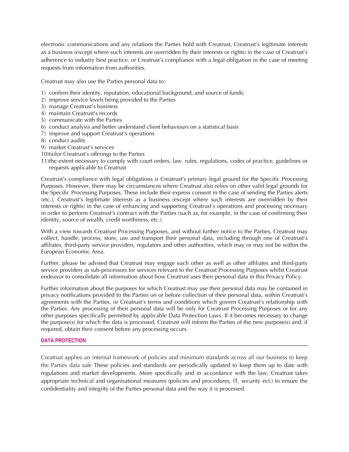electronic communications and any relations the Parties hold with Creatrust, Creatrust's legitimate interests as a business (except where such interests are overridden by their interests or rights) in the case of Creatrust's adherence to industry best practice, or Creatrust's compliance with a legal obligation in the case of meeting requests from information from authorities.

Creatrust may also use the Parties personal data to:

- 1) confirm their identity, reputation, educational background, and source of funds;
- 2) improve service levels being provided to the Parties
- 3) manage Creatrust's business
- 4) maintain Creatrust's records
- 5) communicate with the Parties
- 6) conduct analysis and better understand client behaviours on a statistical basis
- 7) improve and support Creatrust's operations
- 8) conduct audits
- 9) market Creatrust's services
- 10)tailor Creatrust's offerings to the Parties
- 11)the extent necessary to comply with court orders, law, rules, regulations, codes of practice, guidelines or requests applicable to Creatrust

Creatrust's compliance with legal obligations is Creatrust's primary legal ground for the Specific Processing Purposes. However, there may be circumstances where Creatrust also relies on other valid legal grounds for the Specific Processing Purposes. These include their express consent in the case of sending the Parties alerts (etc.), Creatrust's legitimate interests as a business (except where such interests are overridden by their interests or rights) in the case of enhancing and supporting Creatrust's operations and processing necessary in order to perform Creatrust's contract with the Parties (such as, for example, in the case of confirming their identity, source of wealth, credit worthiness, etc.).

With a view towards Creatrust Processing Purposes, and without further notice to the Parties, Creatrust may collect, handle, process, store, use and transport their personal data, including through one of Creatrust's affiliates, third-party service providers, regulators and other authorities, which may or may not be within the European Economic Area.

Further, please be advised that Creatrust may engage each other as well as other affiliates and third-party service providers as sub-processors for services relevant to the Creatrust Processing Purposes whilst Creatrust endeavor to consolidate all information about how Creatrust uses their personal data in this Privacy Policy.

Further information about the purposes for which Creatrust may use their personal data may be contained in privacy notifications provided to the Parties on or before collection of their personal data, within Creatrust's agreements with the Parties, or Creatrust's terms and conditions which govern Creatrust's relationship with the Parties. Any processing of their personal data will be only for Creatrust Processing Purposes or for any other purposes specifically permitted by applicable Data Protection Laws. If it becomes necessary to change the purpose(s) for which the data is processed, Creatrust will inform the Parties of the new purpose(s) and, if required, obtain their consent before any processing occurs.

#### **DATA PROTECTION**

Creatrust applies an internal framework of policies and minimum standards across all our business to keep the Parties data safe These policies and standards are periodically updated to keep them up to date with regulations and market developments. More specifically and in accordance with the law, Creatrust takes appropriate technical and organisational measures (policies and procedures, IT, security ect.) to ensure the confidentiality and integrity of the Parties personal data and the way it is processed.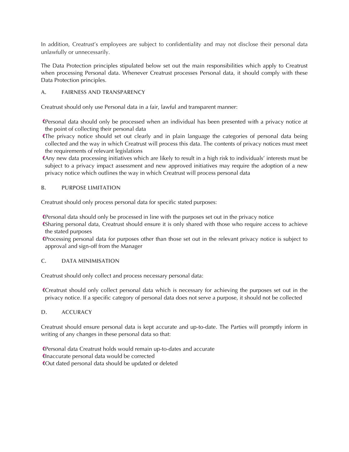In addition, Creatrust's employees are subject to confidentiality and may not disclose their personal data unlawfully or unnecessarily.

The Data Protection principles stipulated below set out the main responsibilities which apply to Creatrust when processing Personal data. Whenever Creatrust processes Personal data, it should comply with these Data Protection principles.

# **A. FAIRNESS AND TRANSPARENCY**

Creatrust should only use Personal data in a fair, lawful and transparent manner:

Personal data should only be processed when an individual has been presented with a privacy notice at the point of collecting their personal data

The privacy notice should set out clearly and in plain language the categories of personal data being collected and the way in which Creatrust will process this data. The contents of privacy notices must meet the requirements of relevant legislations

Any new data processing initiatives which are likely to result in a high risk to individuals' interests must be subject to a privacy impact assessment and new approved initiatives may require the adoption of a new privacy notice which outlines the way in which Creatrust will process personal data

# **B. PURPOSE LIMITATION**

Creatrust should only process personal data for specific stated purposes:

Personal data should only be processed in line with the purposes set out in the privacy notice

Sharing personal data, Creatrust should ensure it is only shared with those who require access to achieve the stated purposes

Processing personal data for purposes other than those set out in the relevant privacy notice is subject to approval and sign-off from the Manager

# **C. DATA MINIMISATION**

Creatrust should only collect and process necessary personal data:

Creatrust should only collect personal data which is necessary for achieving the purposes set out in the privacy notice. If a specific category of personal data does not serve a purpose, it should not be collected

# **D. ACCURACY**

Creatrust should ensure personal data is kept accurate and up-to-date. The Parties will promptly inform in writing of any changes in these personal data so that:

Personal data Creatrust holds would remain up-to-dates and accurate Inaccurate personal data would be corrected Out dated personal data should be updated or deleted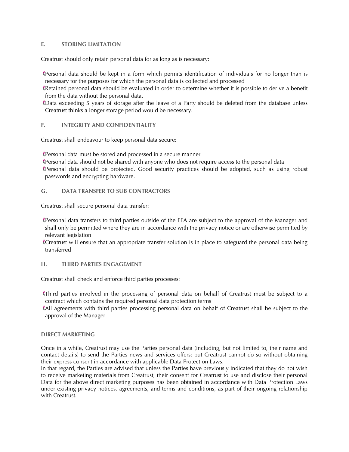## **E. STORING LIMITATION**

Creatrust should only retain personal data for as long as is necessary:

Personal data should be kept in a form which permits identification of individuals for no longer than is necessary for the purposes for which the personal data is collected and processed

Retained personal data should be evaluated in order to determine whether it is possible to derive a benefit from the data without the personal data.

Data exceeding 5 years of storage after the leave of a Party should be deleted from the database unless Creatrust thinks a longer storage period would be necessary.

## **F. INTEGRITY AND CONFIDENTIALITY**

Creatrust shall endeavour to keep personal data secure:

Personal data must be stored and processed in a secure manner

Personal data should not be shared with anyone who does not require access to the personal data Personal data should be protected. Good security practices should be adopted, such as using robust passwords and encrypting hardware.

## **G. DATA TRANSFER TO SUB CONTRACTORS**

Creatrust shall secure personal data transfer:

Personal data transfers to third parties outside of the EEA are subject to the approval of the Manager and shall only be permitted where they are in accordance with the privacy notice or are otherwise permitted by relevant legislation

Creatrust will ensure that an appropriate transfer solution is in place to safeguard the personal data being transferred

#### **H. THIRD PARTIES ENGAGEMENT**

Creatrust shall check and enforce third parties processes:

Third parties involved in the processing of personal data on behalf of Creatrust must be subject to a contract which contains the required personal data protection terms

All agreements with third parties processing personal data on behalf of Creatrust shall be subject to the approval of the Manager

#### **DIRECT MARKETING**

Once in a while, Creatrust may use the Parties personal data (including, but not limited to, their name and contact details) to send the Parties news and services offers; but Creatrust cannot do so without obtaining their express consent in accordance with applicable Data Protection Laws.

In that regard, the Parties are advised that unless the Parties have previously indicated that they do not wish to receive marketing materials from Creatrust, their consent for Creatrust to use and disclose their personal Data for the above direct marketing purposes has been obtained in accordance with Data Protection Laws under existing privacy notices, agreements, and terms and conditions, as part of their ongoing relationship with Creatrust.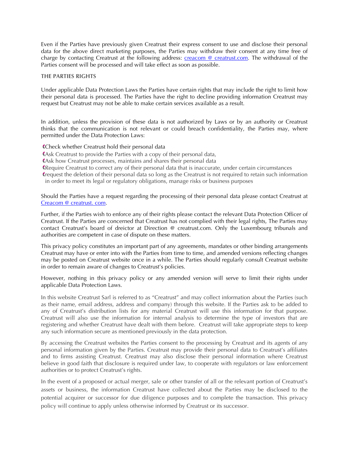Even if the Parties have previously given Creatrust their express consent to use and disclose their personal data for the above direct marketing purposes, the Parties may withdraw their consent at any time free of charge by contacting Creatrust at the following address: [creacom @ creatrust.com.](mailto:creacom@cretrust.com) The withdrawal of the Parties consent will be processed and will take effect as soon as possible.

#### **THE PARTIES RIGHTS**

Under applicable Data Protection Laws the Parties have certain rights that may include the right to limit how their personal data is processed. The Parties have the right to decline providing information Creatrust may request but Creatrust may not be able to make certain services available as a result.

In addition, unless the provision of these data is not authorized by Laws or by an authority or Creatrust thinks that the communication is not relevant or could breach confidentiality, the Parties may, where permitted under the Data Protection Laws:

Check whether Creatrust hold their personal data

Ask Creatrust to provide the Parties with a copy of their personal data,

Ask how Creatrust processes, maintains and shares their personal data

Require Creatrust to correct any of their personal data that is inaccurate, under certain circumstances

request the deletion of their personal data so long as the Creatrust is not required to retain such information in order to meet its legal or regulatory obligations, manage risks or business purposes

Should the Parties have a request regarding the processing of their personal data please contact Creatrust at [Creacom @ creatrust. com.](mailto:creacom@creatrust.com)

Further, if the Parties wish to enforce any of their rights please contact the relevant Data Protection Officer of Creatrust. If the Parties are concerned that Creatrust has not complied with their legal rights, The Parties may contact Creatrust's board of dreictor at Direction @ creatrust.com. Only the Luxembourg tribunals and authorities are competent in case of dispute on these matters.

This privacy policy constitutes an important part of any agreements, mandates or other binding arrangements Creatrust may have or enter into with the Parties from time to time, and amended versions reflecting changes may be posted on Creatrust website once in a while. The Parties should regularly consult Creatrust website in order to remain aware of changes to Creatrust's policies.

However, nothing in this privacy policy or any amended version will serve to limit their rights under applicable Data Protection Laws.

In this website Creatrust Sarl is referred to as "Creatrust" and may collect information about the Parties (such as their name, email address, address and company) through this website. If the Parties ask to be added to any of Creatrust's distribution lists for any material Creatrust will use this information for that purpose. Creatrust will also use the information for internal analysis to determine the type of investors that are registering and whether Creatrust have dealt with them before. Creatrust will take appropriate steps to keep any such information secure as mentioned previously in the data protection.

By accessing the Creatrust websites the Parties consent to the processing by Creatrust and its agents of any personal information given by the Parties. Creatrust may provide their personal data to Creatrust's affiliates and to firms assisting Creatrust. Creatrust may also disclose their personal information where Creatrust believe in good faith that disclosure is required under law, to cooperate with regulators or law enforcement authorities or to protect Creatrust's rights.

In the event of a proposed or actual merger, sale or other transfer of all or the relevant portion of Creatrust's assets or business, the information Creatrust have collected about the Parties may be disclosed to the potential acquirer or successor for due diligence purposes and to complete the transaction. This privacy policy will continue to apply unless otherwise informed by Creatrust or its successor.